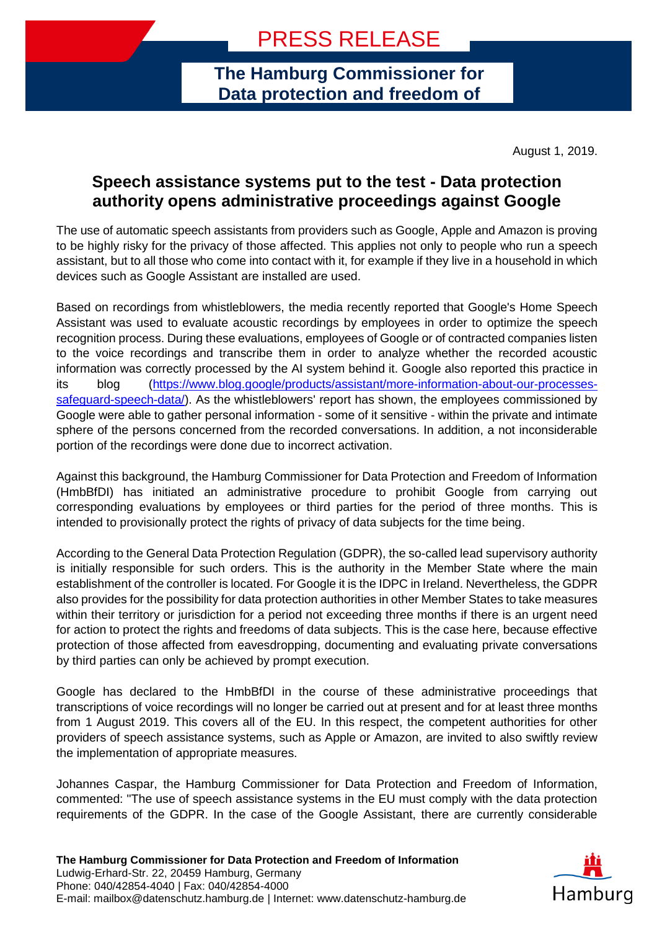**The Hamburg Commissioner for Data protection and freedom of** 

**information**

August 1, 2019.

## **Speech assistance systems put to the test - Data protection authority opens administrative proceedings against Google**

The use of automatic speech assistants from providers such as Google, Apple and Amazon is proving to be highly risky for the privacy of those affected. This applies not only to people who run a speech assistant, but to all those who come into contact with it, for example if they live in a household in which devices such as Google Assistant are installed are used.

Based on recordings from whistleblowers, the media recently reported that Google's Home Speech Assistant was used to evaluate acoustic recordings by employees in order to optimize the speech recognition process. During these evaluations, employees of Google or of contracted companies listen to the voice recordings and transcribe them in order to analyze whether the recorded acoustic information was correctly processed by the AI system behind it. Google also reported this practice in its blog [\(https://www.blog.google/products/assistant/more-information-about-our-processes](https://www.blog.google/products/assistant/more-information-about-our-processes-safeguard-speech-data/)[safeguard-speech-data/\)](https://www.blog.google/products/assistant/more-information-about-our-processes-safeguard-speech-data/). As the whistleblowers' report has shown, the employees commissioned by Google were able to gather personal information - some of it sensitive - within the private and intimate sphere of the persons concerned from the recorded conversations. In addition, a not inconsiderable portion of the recordings were done due to incorrect activation.

Against this background, the Hamburg Commissioner for Data Protection and Freedom of Information (HmbBfDI) has initiated an administrative procedure to prohibit Google from carrying out corresponding evaluations by employees or third parties for the period of three months. This is intended to provisionally protect the rights of privacy of data subjects for the time being.

According to the General Data Protection Regulation (GDPR), the so-called lead supervisory authority is initially responsible for such orders. This is the authority in the Member State where the main establishment of the controller is located. For Google it is the IDPC in Ireland. Nevertheless, the GDPR also provides for the possibility for data protection authorities in other Member States to take measures within their territory or jurisdiction for a period not exceeding three months if there is an urgent need for action to protect the rights and freedoms of data subjects. This is the case here, because effective protection of those affected from eavesdropping, documenting and evaluating private conversations by third parties can only be achieved by prompt execution.

Google has declared to the HmbBfDI in the course of these administrative proceedings that transcriptions of voice recordings will no longer be carried out at present and for at least three months from 1 August 2019. This covers all of the EU. In this respect, the competent authorities for other providers of speech assistance systems, such as Apple or Amazon, are invited to also swiftly review the implementation of appropriate measures.

Johannes Caspar, the Hamburg Commissioner for Data Protection and Freedom of Information, commented: "The use of speech assistance systems in the EU must comply with the data protection requirements of the GDPR. In the case of the Google Assistant, there are currently considerable